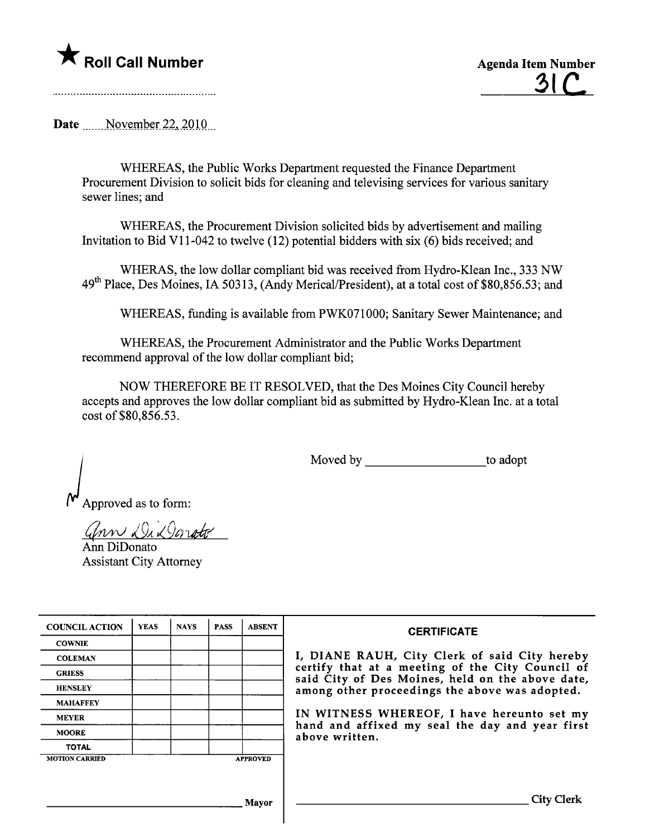

<u>31 C</u>

Date \_\_\_\_\_November 22, 2010

WHEREAS, the Public Works Deparment requested the Finance Deparment Procurement Division to solicit bids for cleaning and televising services for various sanitar sewer lines; and

WHEREAS, the Procurement Division solicited bids by advertisement and mailing Invitation to Bid VII-042 to twelve (12) potential bidders with six (6) bids received; and

WHERAS, the low dollar compliant bid was received from Hydro-Klean Inc., 333 NW 49<sup>th</sup> Place, Des Moines, IA 50313, (Andy Merical/President), at a total cost of \$80,856.53; and

WHEREAS, funding is available from PWK071000; Sanitary Sewer Maintenance; and

WHEREAS, the Procurement Administrator and the Public Works Deparment recommend approval of the low dollar compliant bid;

NOW THEREFORE BE IT RESOLVED, that the Des Moines City Council hereby accepts and approves the low dollar compliant bid as submitted by Hydro-Klean Inc. at a total cost of\$80,856.53.

Moved by to adopt

Approved as to form:

 $Gnnv$   $294$ 

Ann DiDonato Assistant City Attorney

| <b>COUNCIL ACTION</b> | <b>YEAS</b> | <b>NAYS</b> | <b>PASS</b> | <b>ABSENT</b>   | <b>CERTIFICATE</b>                                                                                   |
|-----------------------|-------------|-------------|-------------|-----------------|------------------------------------------------------------------------------------------------------|
| <b>COWNIE</b>         |             |             |             |                 |                                                                                                      |
| <b>COLEMAN</b>        |             |             |             |                 | I, DIANE RAUH, City Clerk of said City hereby                                                        |
| <b>GRIESS</b>         |             |             |             |                 | certify that at a meeting of the City Council of<br>said City of Des Moines, held on the above date, |
| <b>HENSLEY</b>        |             |             |             |                 | among other proceedings the above was adopted.                                                       |
| <b>MAHAFFEY</b>       |             |             |             |                 |                                                                                                      |
| <b>MEYER</b>          |             |             |             |                 | IN WITNESS WHEREOF, I have hereunto set my                                                           |
| <b>MOORE</b>          |             |             |             |                 | hand and affixed my seal the day and year first<br>above written.                                    |
| <b>TOTAL</b>          |             |             |             |                 |                                                                                                      |
| <b>MOTION CARRIED</b> |             |             |             | <b>APPROVED</b> |                                                                                                      |
|                       |             |             |             |                 |                                                                                                      |
|                       |             |             |             | <b>Mayor</b>    | City                                                                                                 |